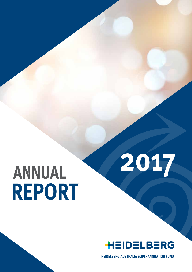# **Annual Report**



**2017**

**HEIDELBERG AUSTRALIA SUPERANNUATION FUND**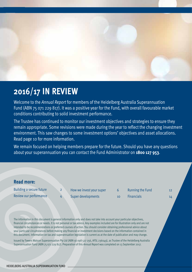

### **2016/17 in review**

Welcome to the *Annual Report* for members of the Heidelberg Australia Superannuation Fund (ABN 75 071 229 817). It was a positive year for the Fund, with overall favourable market conditions contributing to solid investment performance.

The Trustee has continued to monitor our investment objectives and strategies to ensure they remain appropriate. Some revisions were made during the year to reflect the changing investment environment. This saw changes to some investment options' objectives and asset allocations. Read page 10 for more information.

We remain focused on helping members prepare for the future. Should you have any questions about your superannuation you can contact the Fund Administrator on **1800 127 953**.

#### **Read more:**

Building a secure future 2 Review our performance 4 How we invest your super 6 Super developments and the 10

Running the Fund 12

Financials 14

The information in this document is general information only and does not take into account your particular objectives, financial circumstances or needs. It is not personal or tax advice. Any examples included are for illustration only and are not intended to be recommendations or preferred courses of action. You should consider obtaining professional advice about your particular circumstances before making any financial or investment decisions based on the information contained in this document. Information on tax and superannuation legislation is current as at the date of publication and may change.

Issued by Towers Watson Superannuation Pty Ltd (ABN 56 098 527 256, AFSL 236049), as Trustee of the Heidelberg Australia Superannuation Fund (ABN 75 071 229 817). Preparation of this *Annual Report* was completed on 13 September 2017.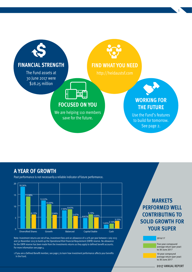

#### **A year of growth**

Past performance is not necessarily a reliable indicator of future performance.



Note: Investment returns are net of tax, investment fees and an allowance of 0.10% per year between 1 July 2013 4.61% and 30 November 2015 to build up the Operational Risk Financial Requirement (ORFR) reserve. No allowance 5 for the ORFR reserve has been made from the investments returns as they apply to defined benefit accounts. For more information see page 4. of tax invectment fees and an allowance of 0.10% pervear between 1 July

1 If you are a Defined Benefit member, see page 5 to learn how investment performance affects your benefits  $\overline{\phantom{a}}$ in the Fund.

### **SOLID GROWTH FOR YOUR SUPER CONTRIBUTING TO Markets performed well**

to 30 June 2016/17

2.16%

Five-year compound average return (per year) to 30 June 2017

1

10-year compound average return (per year) to 30 June 2017

#### 2017 Annual Report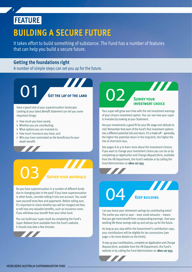### **FEATURE**

2 2

### **Building a secure future**

It takes effort to build something of substance. The Fund has a number of features that can help you build a secure future.

#### **Getting the foundations right**

A number of simple steps can set you up for the future.

**Get the lay of the land**

**TITLE** 

Have a good look at your superannuation landscape. Looking at your latest *Benefit Statement* can tell you some important things:

- **>** How much you have saved;
- **>** Whether you are contributing;
- **>** What options you are invested in;
- **>** How much insurance you have; and
- **>** Who you have nominated as the beneficiary for your death benefit.



of your chosen investment option. You can see how your super is invested by looking at your Statement. Are your investments a good fit for your life stage and attitude to

risk? Remember that each of the Fund's five investment options has a different potential risk and return. It's a trade-off – generally, the higher the potential return in the long term, the higher the risk of short term loss.

See pages 8 to 9 to learn more about the investment choices. If you want to change your investment choice you can do so by completing an *Application and Change Request form*, available from the HR Department, the Fund's website or by calling the Fund Administrator on **1800 127 953**.

#### **Gather your materials**

Do you have superannuation in a number of different funds due to changing jobs in the past? If you have superannuation in other funds, consider rolling it into one account. You could save yourself extra fees and paperwork. Before rolling over, it's important to check whether you will be charged exit fees or will lose any valuable benefits, such as insurance cover, if you withdraw your benefit from your other fund.

You can build your super stash by completing the Fund's *Super Rollover form* available from the Fund's website. It should only take a few minutes.



Can you boost your retirement savings by contributing extra? The earlier you start to save – even small amounts – means that you get more benefit from compounding earnings. Over your working life these savings add up and set you up for the future.

As long as you stay within the Government's contribution caps, your contributions will be eligible for tax concessions (see page 11 for more details on the limits).

To top up your contributions, complete an *Application and Change Request form*, available from the HR Department, the Fund's website or by calling the Fund Administrator on **1800 127 953**.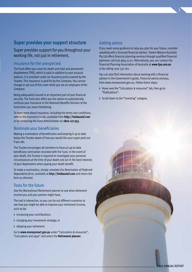#### **Super provides your support structure**

Super provides support for you throughout your working life, not just in retirement.

#### Insurance for the unexpected

The Fund offers you cover for death and total and permanent disablement (TPD), which is paid in addition to your account balance. It is provided under an insurance policy owned by the Trustee. This insurance is paid for by the Company. You cannot change or opt out of this cover while you are an employee of the Company.

Being adequately insured is an important part of your financial security. The Fund also offers you the option to automatically continue your insurance in the Retained Benefits Division of the Fund when you leave Heidelberg.

To learn more about insurance, including the terms and conditions, refer to the *Insurance Guide*, available from **http://heidaustsf.com** or by contacting the Fund Administrator on **1800 127 953**.

#### Nominate your beneficiaries

Making a nomination of beneficiaries and keeping it up to date keeps the Trustee aware of how you would like your super paid out if you die.

The Trustee encourages all members to have an up-to-date beneficiary nomination recorded with the Fund. In the event of your death, the Trustee is required to investigate your personal circumstances at the time of your death and act in the best interests of your dependants when paying your death benefit.

To make a nomination, simply complete the *Nomination of Preferred Dependants form*, available at **http://heidaustsf.com** and return the form as directed.

#### Tools for the future

Use the MoneySmart Retirement planner to see what retirement income you and your partner might have.

The tool is interactive, so you can try out different scenarios to see how you might be able to improve your retirement income, such as by:

- **>** increasing your contributions;
- **>** changing your investment strategy; or
- **>** delaying your retirement.

Go to **www.moneysmart.gov.au** under "Calculators & resources", "Calculators and apps" and select the **Retirement planner**.

#### Getting advice

If you need some guidance to help you plan for your future, consider speaking with a licensed financial adviser. Towers Watson Australia Pty Ltd offers financial planning services through qualified financial planners: call (03) 9655 5222. Alternatively, you can contact the Financial Planning Association of Australia at **www.fpa.com.au** or by calling 1300 337 301.

You can also find information about working with a financial adviser in the Government's guide, *Financial advice and you*, from www.moneysmart.gov.au. Follow these steps:

- **>** Hover over the "Calculators & resources" tab, then go to "Publications".
- **>** Scroll down to the "Investing" category.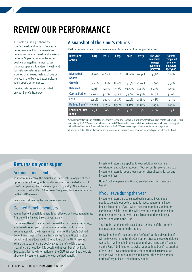### **Review our performance**

The table on the right shows the Fund's investment returns. Your super performance will fluctuate each year depending on how investment markets perform. Super returns can be either positive or negative. In most cases though, super is a long-term investment. For instance, returns earned over a period of 10 years, instead of one or two years, are likely to better indicate your super's performance.

4

Detailed returns are also provided on your *Benefit Statement*.

#### **A snapshot of the Fund's returns**

Past performance is not necessarily a reliable indicator of future performance.

| <b>Investment</b><br>option           | 2017   | 2016     | 2015   | 2014   | 2013   | <b>Five-year</b><br>compound<br>average<br>net return<br>(per year) | 10-year<br>compound<br>average<br>net return<br>(per year) |
|---------------------------------------|--------|----------|--------|--------|--------|---------------------------------------------------------------------|------------------------------------------------------------|
| <b>Diversified</b><br><b>Shares</b>   | 18.26% | $-1.66%$ | 10.12% | 18.85% | 26.41% | 13.98%                                                              | 6.13%                                                      |
| Growth                                | 12.22% | 1.80%    | 8.27%  | 13.79% | 18.07% | 10.69%                                                              | 5.94%                                                      |
| <b>Balanced</b>                       | 7.99%  | 3.74%    | 7.32%  | 10.72% | 12.60% | 8.43%                                                               | 5.47%                                                      |
| <b>Capital Stable</b>                 | 4.61%  | 3.81%    | 5.71%  | 7.51%  | 9.40%  | 6.19%                                                               | 4.89%                                                      |
| Cash                                  | 1.65%  | 1.90%    | 2.15%  | 2.24%  | 2.88%  | 2.16%                                                               | 3.33%                                                      |
| <b>Defined Benefit<sup>1</sup></b>    | 12.22% | 1.85%    | 8.38%  | 13.91% | 18.07% | 10.75%                                                              | 5.97%                                                      |
| <b>Consumer Price</b><br><b>Index</b> | 1.9%   | $1.0\%$  | 1.5%   | 3.0%   | 2.4%   | 2.0%                                                                | 2.4%                                                       |

Note: Investment returns are net of tax, investment fees and an allowance of 0.10% per year between 1 July 2013 to 30 November 2015 and build up the ORFR reserve. No allowance for the ORFR reserve has been made from the investments returns as they apply to defined benefit accounts. For more information on the ORFR reserve see page 7. Returns are for periods to 30 June.

1 If you are a Defined Benefit member, see below to learn how investment performance affects your benefits in the Fund.

#### **Returns on your super**

#### Accumulation members

Your accounts receive the actual investment return for your chosen options after allowing for tax and investment fees. A deduction of 0.10% per year applied between 1 July 2013 and 30 November 2015 to build up the Fund's ORFR reserve. See page 7 for more information on the ORFR reserve.

Investment returns can be positive or negative.

#### Defined Benefit members

Your retirement benefit is generally not affected by investment returns. This benefit is instead linked to your salary.

For Defined Benefit members who joined the Fund before 1 April 1997, your benefit is subject to a minimum based on contributions accumulated with the investment earnings of the Fund's Defined Benefit investments. This is effectively the Fund's Growth option but without the allowance for the build-up of the ORFR reserve. Where these earnings are positive, your benefit will increase. If earnings are negative, it is possible that your benefit will fall. See page 7 for more information on the ORFR reserve. See the table above for investment returns for your defined benefit.

Investment returns are applied to your additional voluntary contribution and rollover accounts. Your accounts receive the actual investment return for your chosen option after allowing for tax and investment fees.

Note: Surcharge payments (if any) are deducted from members' benefits.

#### If you leave during the year

Investment returns are calculated each month. If your super needs to be paid out before monthly investment returns have been calculated, or if you switch investment options, an interim earning rate will be used. This will cover the period from the date that investment returns were last calculated until the date your benefit is paid from the Fund.

The interim earning rate is based on an estimate of the option's net investment return for the month.

For Defined Benefit members, the "defined" portion of your benefit will be invested in the Fund's Cash option after you leave Heidelberg Australia. It will remain in this option until you instruct the Trustee, via the Fund Administrator, to switch your defined benefit to another of the Fund's investment options. Your additional accumulation accounts will continue to be invested in your chosen investment option after you leave Heidelberg Australia.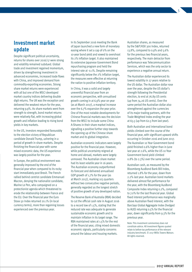#### **Investment market update**

Despite significant political uncertainty, returns for shares over 2016/17 were strong and volatility remained subdued. Global trade and investment regained momentum, driven by strengthening investment in advanced economies, increased trade flows with China, and improved demand from commodity-exporting economies. Strong share market returns were experienced with all but one of the MSCI developed market country indices delivering double digit returns. The UK was the exception and delivered the weakest return for the year, returning 9.9%. As share markets went from strength to strength, bond market returns were relatively flat, with increasing global growth and inflation leading to rising bond yields in key markets.

In the US, investors responded favourably to the election victory of Republican candidate Donald Trump, ushering in a period of growth in share markets. Despite finishing the financial year with some mixed economic data, the US experience was largely positive for the year.

In Europe, the political environment was generally improved by the end of the financial year when compared to its rocky start immediately post Brexit. The French rallied behind centrist candidate Emmanuel Macron, denying the nationalist candidate, Marine Le Pen, who campaigned on a protectionist agenda which threatened to erode the relationship between France and the EU. Over the financial year the Euro Stoxx 50 Index returned 20.1% (in local currency terms), more than regaining losses experienced over the previous year.

In its September 2016 meeting the Bank of Japan launched a new form of monetary easing where it set a cap of 0% on the 10-year bond yield and vowed to overshoot its 2% inflation target. It also maintained its extensive Japanese Government Bond repurchasing program and held the interest rate at -0.1%. Despite remaining significantly below the 2% inflation target, the measures were effective at returning the nation to positive inflation territory.

In China, it was a solid and largely uneventful financial year from an economic perspective, with annualised growth coming in at 6.9% year on year (as at March 2017), a marginal increase over the 6.7% expansion the year prior. One of the most notable developments for Chinese financial markets was the decision from the MSCI to include some China A-Shares in their share market indices, signalling a positive further step towards the opening up of the Chinese share market and its global integration.

Australian economic indicators were largely positive for the financial year. However, while political uncertainty reigned at home and abroad, markets were largely unmoved. The Australian share market had its least volatile year in 16 years. The Australian economy outperformed its forecast and delivered annualised GDP growth of 1.7% for the year (as at March 2017), marking 103 quarters without two consecutive negative periods, generally regarded as the longest stretch of positive growth of any developed nation.

The Reserve Bank of Australia (RBA) decided to cut the official cash rate in August 2016 to a record low of 1.5%, stating that the reduced rate was adequate to generate sustainable economic growth and to maintain inflation in its target range. The RBA maintained rates at 1.5% for the rest of the financial year, citing mixed domestic economic signals, particularly concerns around the labour and housing markets.

Australian shares, as measured by the S&P/ASX 300 Index, returned 13.8%, compared to 0.9% and 5.6% for the previous two financial years, respectively. The main detractor from performance was Telecommunication Services, which was the only sector to experience a negative annual return.

5

The Australian dollar experienced its lowest volatility in 27 years relative to the US dollar. The Australian dollar rose over the year, despite the US dollar's strength following the Presidential election, to end at 76.89 US cents (up from 74.26 US cents). Over the same period the Australian dollar also strengthened against the currencies of its major trading partners, with the Trade Weighted Index ending the year at 65.5 (up from 62.5 from last year).

Both Australian and international bond yields climbed over the course of the financial year, with significant upward shifts occurring in October 2016 and June 2017. The Australian 10 Year Government bond yield finished 0.6% higher than in June last year at 2.6%, while the US 10 Year Government bond yield climbed 0.8% (to 2.3%) over the same period.

Australian cash, as measured by the Bloomberg AusBond Bank Bill Index, returned 1.8% for the year, down from 2.2% last year. Australian bond markets delivered almost flat performance for the year, with the Bloomberg AusBond Composite Index returning 0.2%, compared to 7.0% for the last financial year. Global fixed interest performance was marginally above Australian fixed interest, with the Barclays Global Aggregate Index (hedged to AUD) returning 0.5% for the financial year, down significantly from 9.3% for the previous year.

Note: This investment commentary does not constitute advice. All investment figures quoted relate to before-tax performance of the relevant industry benchmark. © 2017 Willis Towers Watson. All rights reserved.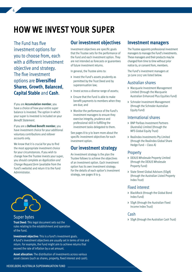### **How we invest your super**

The Fund has five investment options for you to choose from, each with a different investment objective and strategy. The five investment options are **Diversified Shares**, **Growth**, **Balanced**, **Capital Stable** and **Cash**.

6

If you are **Accumulation member**, you have a choice of how your entire super balance is invested. The option in which your super is invested is included on your *Benefit Statement*.

If you are a **Defined Benefit member**, you have investment choice for your additional voluntary contributions and rollover accounts only.

We know that it is crucial for you to find the most appropriate investment choice for your circumstances. If you wish to change how the Trustee invests your super, you should complete an *Application and Change Request form* (available from the Fund's website) and return it to the Fund Administrator.

#### **Our investment objectives**

Investment objectives are specific goals that the Trustee sets for the performance of the Fund and each investment option. They are not intended as forecasts or guarantees of future investment returns.

In general, the Trustee aims to:

- **>** Invest the Fund's assets prudently as permitted by the Trust Deed and by superannuation law;
- **>** Invest across a diverse range of assets;
- **>** Ensure that the Fund is able to make benefit payments to members when they are due; and
- **>** Monitor the performance of the Fund's investment managers to ensure they exercise integrity, prudence and professional skill in fulfilling the investment tasks delegated to them.

See pages 8 to 9 to learn more about the specific investment objectives for each investment option.

#### **Our investment strategy**

An investment strategy is the plan the Trustee follows to achieve the objectives of an investment option. Each investment option has its own investment strategy. For the details of each option's investment strategy, see pages 8 to 9.

#### **Investment managers**

The Trustee appoints professional investment managers to manage the Fund's investments. These managers and their products may be changed from time to time without prior notice to, or consent from, members.

The Fund's investment managers at 30 June 2017 are listed below.

#### Australian shares

- **>** Macquarie Investment Management Limited (through the Macquarie Australian Enhanced Plus Equities Fund)
- **>** Schroder Investment Management (through the Schroder Australian Equity Fund)

#### International shares

- **>** BNP Paribas Investment Partners (Australia) Limited (through the MFS Global Equity Trust)
- **>** Realindex Investments Pty Limited (through the Realindex Global Share Hedge Fund – Class A)

#### Property

- **>** DEXUS Wholesale Property Limited (through the DEXUS Wholesale Property Fund)
- **>** State Street Global Advisors (SSgA) (through the Australian Listed Property Index Trust)

#### Fixed interest

- **>** BlackRock (through the Global Bond Index Fund)
- **>** SSgA (through the Australian Fixed Income Index Trust)

#### Cash

**>** SSgA (through the Australian Cash Trust)

Super bytes

**Trust Deed**: This legal document sets out the rules relating to the establishment and operation of the Fund.

**Investment objective:** This is a fund's investment goals. A fund's investment objectives are usually set in terms of risk and return. For example, the Fund might aim to achieve returns that exceed the rate of inflation by a set amount.

**Asset allocation:** The distribution of investments across various asset classes (such as shares, property, fixed interest and cash).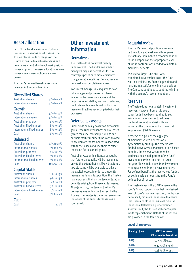#### **Asset allocation**

Each of the Fund's investment options is invested in various asset classes. The Trustee places limits or ranges on the Fund's exposure to each asset class and nominates a neutral or benchmark position for each option. The asset allocation ranges for each investment option are shown below.

The Fund's defined benefit assets are invested in the Growth option.

#### Diversified Shares

| Australian shares    | 48% to 52% |
|----------------------|------------|
| International shares | 48% to 52% |

#### Growth

| <b>Australian shares</b>     | 30% to 34% |
|------------------------------|------------|
| International shares         | 30% to 34% |
| <b>Australian property</b>   | 6% to 10%  |
| Australian fixed interest    | 8% to 12%  |
| International fixed interest | 8% to 12%  |
| Cash                         | 6% to 10%  |

#### Balanced

Australian shares 19% to 23% International shares 18% to 22% Australian property 8% to 12% Australian fixed interest 15% to 20% International fixed interest 15% to 20% Cash 12% to 16%

#### Capital Stable

| Australian shares            | 11% to 15%   |
|------------------------------|--------------|
| International shares         | $9\%$ to 13% |
| <b>Australian property</b>   | 4% to 8%     |
| Australian fixed interest    | 13% to 17%   |
| International fixed interest | 13% to 17%   |
| Cash                         | 38% to 42%   |
| Cash                         |              |

Cash 100%

#### **Other investment information**

#### **Derivatives**

The Trustee does not invest directly in derivatives. The Fund's investment managers may use derivatives for risk control purposes or to more efficiently change asset allocations. Derivatives are not used in a speculative manner.

Investment managers are required to have risk management processes in place in relation to the use of derivatives and the purposes for which they are used. Each year, the Trustee obtains confirmation from the managers that they have complied with their processes.

#### Deferred tax assets

Super funds normally pay tax on any capital gains. If the Fund experiences capital losses (which can arise, for example, due to falls on share markets), super funds are allowed to accumulate the tax benefits associated with those losses and use them to offset the tax on future capital gains.

Australian Accounting Standards require that future tax benefits will be recognised only to the extent that it is likely that future taxable gains will be available to utilise the capital losses. In order to prudently manage the Fund's tax position, the Trustee has imposed a limit on the level of taxation benefits arising from these capital losses. At 30 June 2017, the level of the Fund's tax losses was within the limit set by the Trustee. The Trustee is therefore recognising the whole of the Fund's tax losses as a Fund asset.

#### Actuarial review

The Fund's financial position is reviewed by the actuary at least every three years. The actuary then makes a recommendation to the Company on the appropriate level of future contributions needed to maintain members' benefits.

7

The review for 30 June 2016 was completed in December 2016. The Fund was in a satisfactory financial position and remains in a satisfactory financial position. The Company continues to contribute in line with the actuary's recommendations.

#### Reserves

The Trustee does not maintain investment reserves. However, from 1 July 2013, super funds have been required to set aside financial resources to address the Fund's operational risks. This is known as the Operational Risk Financial Requirement (ORFR) reserve.

A reserve of 0.30% of the aggregate of members' vested benefits was systematically built up. The reserve was funded in two ways. For accumulation-based benefits, the reserve was funded by setting aside a small portion of the Fund's investment earnings at a rate of 0.10% per year (these deductions from investment earnings ceased from 30 November 2015). For defined benefits, the reserve was funded by setting aside amounts from the Fund's defined benefit assets.

The Trustee invests the ORFR reserve in the Fund's Growth option. Now that the desired level of 0.30% has been reached, the Trustee periodically monitors the reserve to ensure that it remains close to this level. Should the reserve fall below a predetermined shortfall limit, the Trustee will enact a plan for its replenishment. Details of the reserve are provided in the table below.

#### **Level of reserves**

| As at 30 June | <b>ORFR</b> reserve<br>(% of vested benefits) |  |
|---------------|-----------------------------------------------|--|
| 2017          | 0.35% (\$89,217)                              |  |
| 2016          | 0.30% (\$76,936)                              |  |
| 2015          | $0.18\%$ (\$50,041)                           |  |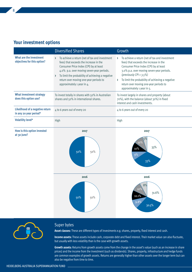|                                                                  | <b>Diversified Shares</b>                                                                                                                                                                                                                                                                                   | Growth                                                                                                                                                                                                                                                                                                                                     |
|------------------------------------------------------------------|-------------------------------------------------------------------------------------------------------------------------------------------------------------------------------------------------------------------------------------------------------------------------------------------------------------|--------------------------------------------------------------------------------------------------------------------------------------------------------------------------------------------------------------------------------------------------------------------------------------------------------------------------------------------|
| What are the investment<br>objectives for this option?           | To achieve a return (net of tax and investment<br>fees) that exceeds the increase in the<br>Consumer Price Index (CPI) by at least<br>4.0% p.a. over moving seven-year periods.<br>To limit the probability of achieving a negative<br>return over moving one-year periods to<br>approximately 1 year in 4. | To achieve a return (net of tax and investment<br>fees) that exceeds the increase in the<br>Consumer Price Index (CPI) by at least<br>3.0% p.a. over moving seven-year periods.<br>(previously $CPI + 3.5\%$ )<br>To limit the probability of achieving a negative<br>return over moving one-year periods to<br>approximately 1 year in 5. |
| <b>What investment strategy</b><br>does this option use?         | To invest totally in shares with 50% in Australian<br>shares and 50% in international shares.                                                                                                                                                                                                               | To invest largely in shares and property (about<br>70%), with the balance (about 30%) in fixed<br>interest and cash investments.                                                                                                                                                                                                           |
| <b>Likelihood of a negative return</b><br>in any 20 year period* | 4 to 6 years out of every 20                                                                                                                                                                                                                                                                                | 4 to 6 years out of every 20                                                                                                                                                                                                                                                                                                               |
| <b>Volatility level*</b>                                         | High                                                                                                                                                                                                                                                                                                        | High                                                                                                                                                                                                                                                                                                                                       |
| How is this option invested<br>at 30 June?                       | 2017                                                                                                                                                                                                                                                                                                        | 2017                                                                                                                                                                                                                                                                                                                                       |





#### Super bytes

**Asset classes:** These are different types of investments e.g. shares, property, fixed interest and cash.

**Income assets:** These assets include cash, corporate debt and fixed interest. Their market value can also fluctuate, but usually with less volatility than is the case with growth assets.

**Growth assets:** Returns from growth assets come from the change in the asset's value (such as an increase in share prices) and the income from the investment (such as dividends). Shares, property, infrastructure and hedge funds are common examples of growth assets. Returns are generally higher than other assets over the longer term but can also be negative from time to time.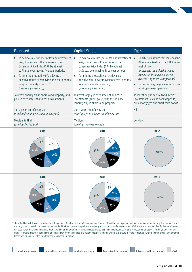| To achieve a return that matches the<br><b>Bloomberg AusBond Bank Bill Index</b><br>(previously the objective was to<br>exceed CPI by at least 0.5% p.a.<br>over moving three-year periods)<br>To prevent any negative returns over<br>moving one-year periods. |
|-----------------------------------------------------------------------------------------------------------------------------------------------------------------------------------------------------------------------------------------------------------------|
| To invest only in secure fixed interest<br>investments, such as bank deposits,<br>bills, mortgages and short-term bonds.                                                                                                                                        |
|                                                                                                                                                                                                                                                                 |
|                                                                                                                                                                                                                                                                 |
| 2017                                                                                                                                                                                                                                                            |
| 100%                                                                                                                                                                                                                                                            |
| 2016                                                                                                                                                                                                                                                            |
|                                                                                                                                                                                                                                                                 |
| (net of tax).                                                                                                                                                                                                                                                   |

\* The volatility level shown is based on industry guidance to allow members to compare investment options that are expected to deliver a similar number of negative annual returns over any 20 year period. It is based on the Standard Risk Measure developed by the industry and is not a complete assessment of all forms of investment risk, for instance it does not detail what the size of a negative return could be or the potential for a positive return to be less than a member may require to meet their objectives. Further, it does not take into account the impact of administration fees and tax on the likelihood of a negative return. Members should still ensure they are comfortable with the range of risks and potential losses and gains associated with their chosen investment option.



9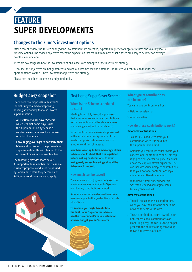## **Super developments FEATURE**

#### **Changes to the Fund's investment options**

After a recent review, the Trustee changed the investment return objective, expected frequency of negative returns and volatility levels for some options. The revised objectives reflect the expectation that returns from most asset classes are likely to be lower on average over the medium term.

There are no changes to how the investment options' assets are managed or the investment strategy.

Of course, the objectives are not guarantees and actual outcomes may be different. The Trustee will continue to monitor the appropriateness of the Fund's investment objectives and strategy.

Please see the tables on pages 8 and 9 for details.

#### **Budget 2017 snapshot**

There were two proposals in this year's Federal Budget aimed at improving housing affordability that also involve superannuation:

- **> A First Home Super Saver Scheme**  which lets first home buyers use the superannuation system as a way to save extra money for a deposit on a first home; and
- **> Encouraging over 65's to downsize their home** and put some of the proceeds into superannuation. This is intended to free up larger homes for younger families.

The following provides more details. It is important to remember that these are currently proposals and must be passed by Parliament before they become law. Additional conditions may also apply.



#### First Home Super Saver Scheme

**When is the Scheme scheduled to start?** 

Starting from 1 July 2017, it is proposed that you can make voluntary contributions to your super fund and be able to access your savings starting from 1 July 2018.

Super contributions are usually preserved in the superannuation system until you reach your preservation age or satisfy another condition of release.

**Members wanting to take advantage of this Scheme should check that it is legislated before making contributions, to avoid losing early access to savings should the Scheme not proceed.** 

#### **How much can be saved?**

You can save up to **\$15,000 per year**. The maximum savings is limited to **\$30,000**  of voluntary contributions in total.

Amounts invested are deemed to receive earnings equal to the 90 day Bank Bill rate plus 3% p.a.

**To see how you might benefit from the First Home Super Saver Scheme, use the Government's online estimator at www.budget.gov.au/estimator.** 

#### **What type of contributions can be made?**

#### You can make contributions from:

- **>** Before-tax salary; or
- **>** After-tax salary.

#### **How do these contributions work?**

#### **Before-tax contributions**

- **>** Tax at 15% is deducted from your contribution when it is paid into the superannuation fund.
- **>** Amounts you contribute count toward your concessional contributions cap. This cap is \$25,000 per year for everyone. Amounts above the cap will attract higher tax. The cap includes your employer's contributions (and your notional contributions if you are a Defined Benefit member).
- **>** Withdrawals from super under this Scheme are taxed at marginal rates less a 30% tax offset.

#### **After-tax contributions**

- **>** There is no tax on these contributions when you pay them into the super fund or when they are withdrawn.
- **>** These contributions count towards your non-concessional contributions cap. From 1 July 2017, the cap is \$100,000 per year with the ability to bring forward up to two future years of limits.

10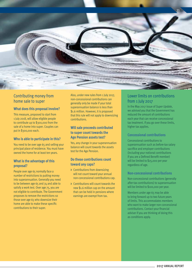

#### Contributing money from home sale to super

#### **What does this proposal involve?**

This measure, proposed to start from 1 July 2018, will allow eligible people to contribute up to \$300,000 from the sale of a home into super. Couples can put in \$300,000 each.

#### **Who is able to participate in this?**

You need to be over age 65 and selling your principal place of residence. You must have owned the home for at least ten years.

#### **What is the advantage of this proposal?**

People over age 65 normally face a number of restrictions to putting money into superannuation. Generally you need to be between age 65 and 74 and able to satisfy a work test. Over age 75, you are not eligible to contribute. The Government proposes to remove the restrictions so those over age 65 who downsize their home are able to make these specific contributions to their super.

Also, under new rules from 1 July 2017, non-concessional contributions can generally only be made if your total superannuation balance is less than \$1.6 million. However, it is proposed that this rule will not apply to downsizing contributions.

#### **Will sale proceeds contributed to super count towards the Age Pension assets test?**

Yes, any change in your superannuation balance will count towards the assets test for the Age Pension.

#### **Do these contributions count toward any caps?**

- **>** Contributions from downsizing will not count toward your annual non-concessional contributions cap.
- **>** Contributions will count towards the new \$1.6 million cap on the amount that can be held in pensions where earnings are exempt from tax.

#### Lower limits on contributions from 1 July 2017

In the May 2017 issue of *Super Update*, we advised you that the Government has reduced the amount of contributions each year that can receive concessional tax treatment. If you go over these limits, higher tax applies.

#### **Concessional contributions**

Concessional contributions to superannuation such as before-tax salary sacrifice and employer contributions (including your notional contributions if you are a Defined Benefit member) will be limited to \$25,000 per year regardless of age.

#### **Non-concessional contributions**

Non-concessional contributions (generally after-tax contributions) to superannuation will be limited to \$100,000 per year.

Members under age 65 may be able to bring forward up to two future years of limits. This accommodates members who want to make larger non-concessional contributions. Contact your financial adviser if you are thinking of doing this as conditions apply.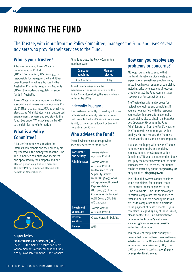### **running the Fund**

The Trustee, with input from the Policy Committee, manages the Fund and uses several advisers who provide their services to the Fund.

#### **Who is your Trustee?**

A Trustee company, Towers Watson Superannuation Pty Ltd (ABN 56 098 527 256, AFSL 236049), is responsible for managing the Fund. It has been licensed to act as a Trustee by the Australian Prudential Regulation Authority (APRA), the prudential regulator of super funds in Australia.

Towers Watson Superannuation Pty Ltd is a subsidiary of Towers Watson Australia Pty Ltd (ABN 45 002 415 349, AFSL 229921) who also acts as Administrator (via an outsourced arrangement), actuary and secretary to the Fund. See under "Who advises the Fund?" to the right for more information.

#### **What is a Policy Committee?**

A Policy Committee ensures that the interests of members and the Company are represented in the management of the Fund. The Committee comprises two members – one appointed by the Company and one elected periodically by Fund members. The next Policy Committee election will be held in November 2018.



#### Super bytes

**Product Disclosure Statement (PDS):**

The PDS is the main disclosure document for new members of superannuation funds. A copy is available from the Fund's website. At 30 June 2017, the Policy Committee members were:

| Company-    | Member- |
|-------------|---------|
| appointed   | elected |
| Con Xanthos | GK Ng   |

Ashad Perera resigned as the member-elected representative on the Policy Committee during the year and was replaced by GK Ng.

#### Indemnity insurance

The Trustee is currently covered by a Trustee Professional Indemnity insurance policy that protects the Fund's assets from a legal liability to the extent allowed by law and the policy conditions.

#### **Who advises the Fund?**

The following organisations provide specialist services to the Trustee.

| <b>Consultant</b><br>and actuary | <b>Towers Watson</b><br>Australia Pty Ltd                                                                                                                                                                                                               |
|----------------------------------|---------------------------------------------------------------------------------------------------------------------------------------------------------------------------------------------------------------------------------------------------------|
| <b>Administrator</b>             | <b>Towers Watson</b><br>Australia Pty Ltd<br>(outsourced to Link<br>Super Pty Limited<br>(ABN 68 146 993 660)<br>a Corporate Authorised<br>Representative<br>(No. 401938) of Pacific<br>Custodians Pty Limited<br>(ABN 66 009 682 866,<br>AFSL 295142)) |
| <b>Investment</b><br>consultant  | <b>Towers Watson</b><br>Australia Pty Ltd                                                                                                                                                                                                               |
| <b>External</b><br>auditors      | Crowe Horwath, Deloitte                                                                                                                                                                                                                                 |
| Insurer                          | AMP                                                                                                                                                                                                                                                     |

#### **How can you resolve any problems or concerns?**

Although our aim is to ensure that the Fund's level of service meets your expectations, sometimes problems may arise. If you have an enquiry or complaint, including privacy-related enquiries, you should contact the Fund Administrator (see page 13 for contact details).

The Trustee has a formal process for reviewing enquiries and complaints if you are not satisfied with the response you receive. To make a formal enquiry or complaint, please obtain an *Enquiries and Complaint Form* from the Fund Administrator or from the Fund's website. The Trustee will respond to you within 90 days. You can request the Trustee's reasons for its decision on your complaint.

If you are not happy with how the Trustee handles your enquiry or complaint, you may contact the Superannuation Complaints Tribunal, an independent body set up by the Federal Government to settle your concerns in such cases. The Tribunal can be contacted by phone on **1300 884 114** or by email at **info@sct.gov.au**.

The Tribunal, however, cannot consider some complaints, for instance, those that concern the management of the Fund as a whole. Time limits also apply to certain complaints that are related to total and permanent disability claims as well as to complaints about objections to the payment of death benefits. If your complaint is regarding any of these issues, please contact the Fund Administrator or refer to the Tribunal's website on **www.sct.gov.au** as soon as possible for further information.

You can direct complaints about your privacy that have not been resolved to your satisfaction to the Office of the Australian Information Commissioner (OAIC). The OAIC can be contacted at **1300 363 992** or **enquiries@oaic.gov.au**.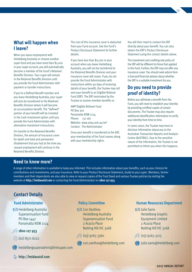#### **What will happen when I leave?**

When you leave employment with Heidelberg Australia or choose another super fund and you have more than \$2,000 in your super account, you will automatically become a member of the Fund's Retained Benefits Division. Your super will remain in the Retained Benefits Division until you provide the Fund Administrator with payment or transfer instructions.

If you're a Defined Benefit member and you leave Heidelberg Australia, your super will also be transferred to the Retained Benefits Division where it will become an accumulation benefit. The "defined" portion of your benefit will be invested in the Cash investment option until you provide the Fund Administrator with alternative investment instructions.

On transfer to the Retained Benefits Division, the amount of insurance cover for death and total and permanent disablement that you had at the time you ceased employment will continue in the Retained Benefits Division.

The cost of this insurance cover is deducted from your Fund account. See the Fund's Product Disclosure Statement for further details.

If you have less than \$2,000 in your account when you leave Heidelberg Australia, you will not be transferred to the Retained Benefits Division and your insurance cover will cease. If you do not provide the Fund Administrator with instructions within 90 days of receiving details of your benefit, the Trustee may roll over your benefit to an Eligible Rollover Fund (ERF). The ERF nominated by the Trustee to receive member benefits is:

AMP Eligible Rollover Fund PO Box 300 Parramatta NSW 2124 Phone: 131 267 Website: www.amp.com.au/erf Contact: The Administrator

Once your benefit is transferred to the ERF, your membership of the Fund ceases along with your membership rights.

You will then need to contact the ERF directly about your benefit. You can also obtain the ERF's Product Disclosure Statement using the contact details above.

The investment and crediting rate policy of the ERF will be different to those that applied in the Fund. Further, the ERF may not offer any insurance cover. You should seek advice from a licensed financial adviser about whether the ERF is a suitable investment for you.

#### **Do you need to provide proof of identity?**

Before you withdraw a benefit from the Fund, you will need to establish your identity by providing certified copies of certain documents. The Trustee may also require additional identification information to verify your identity from time to time.

In some cases, the Trustee may have to disclose information about you to the Australian Transaction Reports and Analysis Centre (AUSTRAC). Due to the sensitive nature of the information, the Trustee is not permitted to inform you when this happens.

#### **Need to know more?**

A range of other information is available to keep you informed. This includes information about your benefits, such as your choices for contributions and investments, and your insurance. Refer to your Product Disclosure Statement, *Guide to your super*. Members, former members and their dependants are also able to view or request copies of the Trust Deed and various Trustee policies by visiting the website at **http://heidaustsf.com** or contacting the Fund Administrator on **1800 127 953**.

#### **Contact Details**

#### **Fund Administrator**

Heidelberg Australia Superannuation Fund PO Box 1442 Parramatta NSW 2124

**http://heidaustsf.com**

#### **1800 127 953**

- $\circ$  (02) 8571 6222
- heidelbergsuperadmin@linksuper.com
- **Policy Committee**
- **Example 2** Con Xanthos Heidelberg Australia Superannuation Fund 2 Acacia Place Notting Hill VIC 3168
- $\mathbb{G}$  (03) 9263 3360
- con.xanthos@heidelberg.com

#### **Human Resources Department**

Julie Sarro Heidelberg Graphic Equipment Limited 2 Acacia Place Notting Hill VIC 3168

 $\mathbb{G}_{9}$  (03) 9263 3213

julie.sarro@heidelberg.com